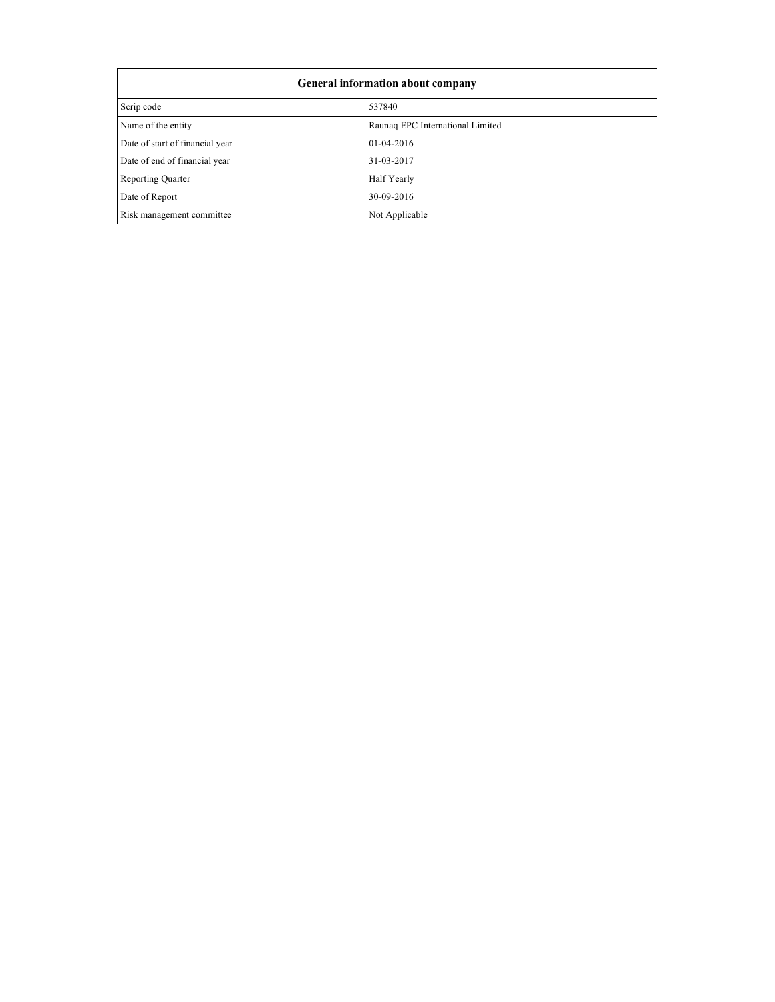| General information about company |                                  |  |  |
|-----------------------------------|----------------------------------|--|--|
| Scrip code                        | 537840                           |  |  |
| Name of the entity                | Raunaq EPC International Limited |  |  |
| Date of start of financial year   | 01-04-2016                       |  |  |
| Date of end of financial year     | 31-03-2017                       |  |  |
| <b>Reporting Quarter</b>          | Half Yearly                      |  |  |
| Date of Report                    | 30-09-2016                       |  |  |
| Risk management committee         | Not Applicable                   |  |  |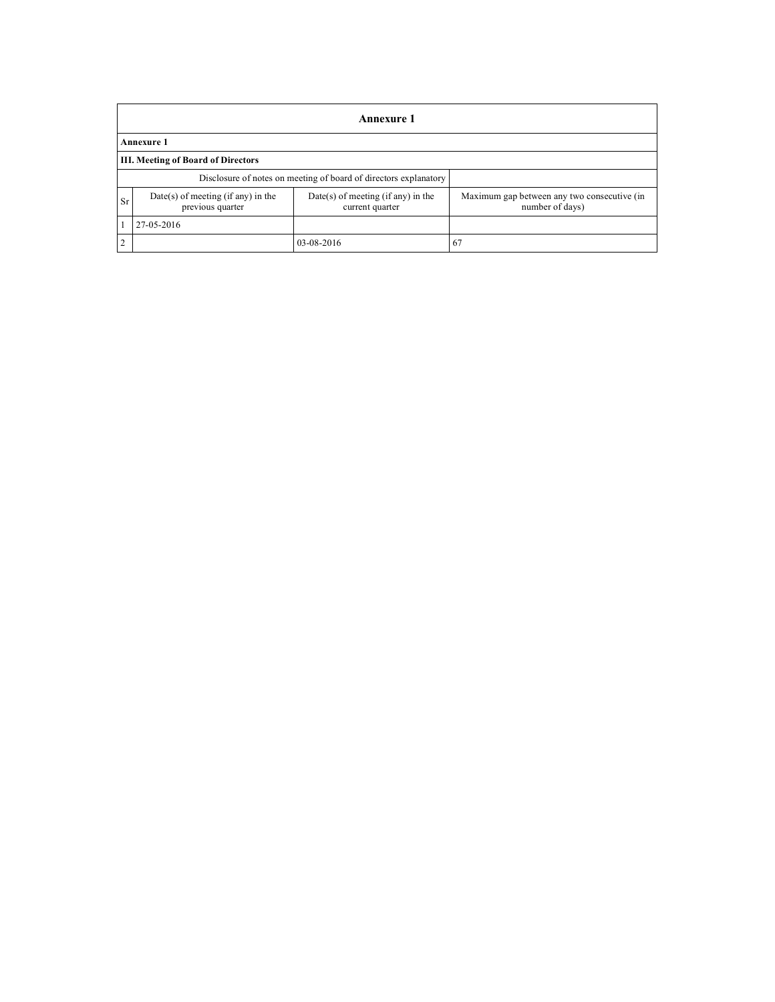|                                           | Annexure 1                                                       |                                                         |                                                                |  |
|-------------------------------------------|------------------------------------------------------------------|---------------------------------------------------------|----------------------------------------------------------------|--|
|                                           | Annexure 1                                                       |                                                         |                                                                |  |
| <b>III. Meeting of Board of Directors</b> |                                                                  |                                                         |                                                                |  |
|                                           | Disclosure of notes on meeting of board of directors explanatory |                                                         |                                                                |  |
| Sr                                        | $Date(s)$ of meeting (if any) in the<br>previous quarter         | $Date(s)$ of meeting (if any) in the<br>current quarter | Maximum gap between any two consecutive (in<br>number of days) |  |
|                                           | 27-05-2016                                                       |                                                         |                                                                |  |
| $\overline{2}$                            |                                                                  | 03-08-2016                                              | 67                                                             |  |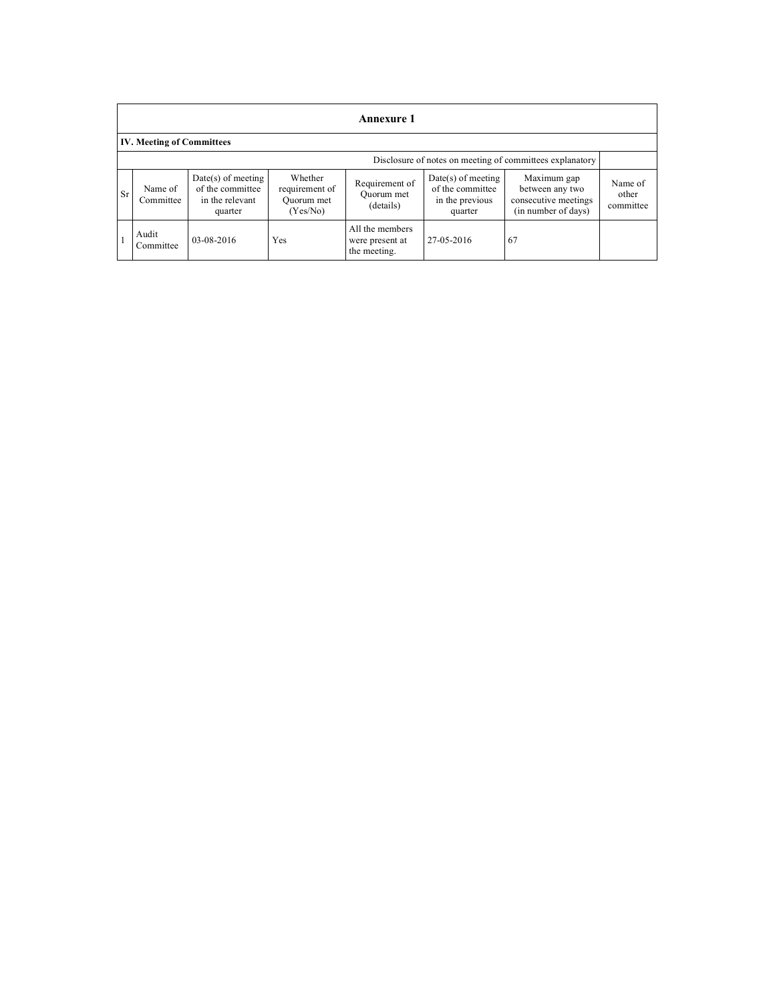|    | Annexure 1                                               |                                                                        |                                                     |                                                    |                                                                        |                                                                               |                               |
|----|----------------------------------------------------------|------------------------------------------------------------------------|-----------------------------------------------------|----------------------------------------------------|------------------------------------------------------------------------|-------------------------------------------------------------------------------|-------------------------------|
|    | <b>IV. Meeting of Committees</b>                         |                                                                        |                                                     |                                                    |                                                                        |                                                                               |                               |
|    | Disclosure of notes on meeting of committees explanatory |                                                                        |                                                     |                                                    |                                                                        |                                                                               |                               |
| Sr | Name of<br>Committee                                     | $Date(s)$ of meeting<br>of the committee<br>in the relevant<br>quarter | Whether<br>requirement of<br>Quorum met<br>(Yes/No) | Requirement of<br>Quorum met<br>(details)          | $Date(s)$ of meeting<br>of the committee<br>in the previous<br>quarter | Maximum gap<br>between any two<br>consecutive meetings<br>(in number of days) | Name of<br>other<br>committee |
|    | Audit<br>Committee                                       | 03-08-2016                                                             | Yes                                                 | All the members<br>were present at<br>the meeting. | 27-05-2016                                                             | 67                                                                            |                               |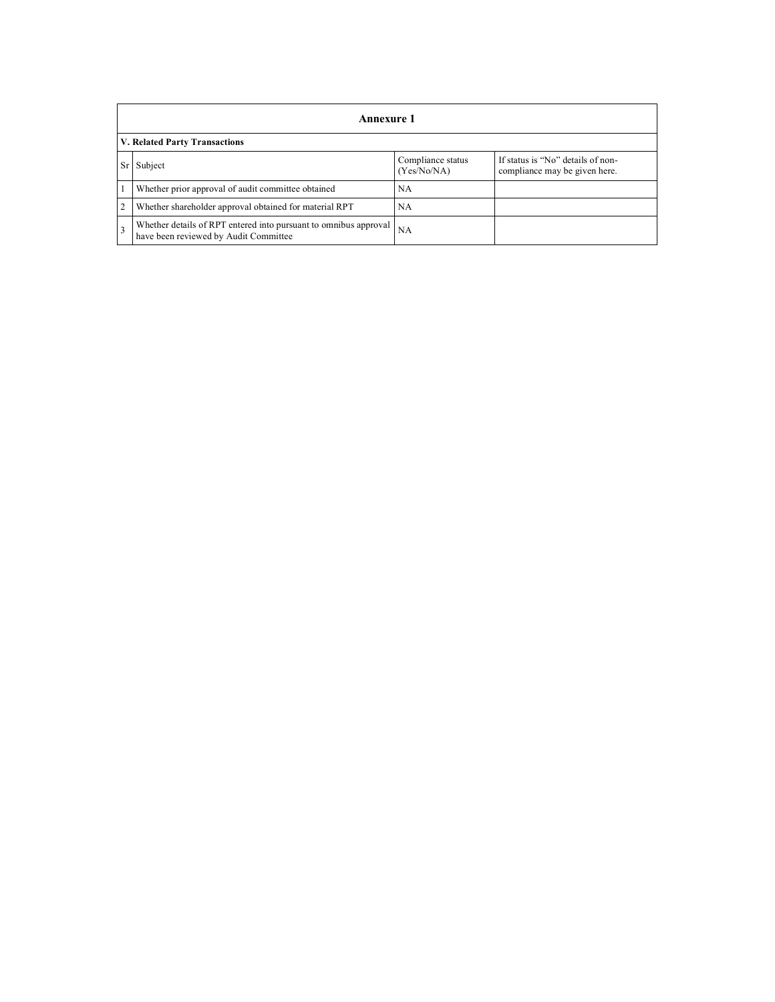|                | Annexure 1                                                                                                |                                  |                                                                    |  |
|----------------|-----------------------------------------------------------------------------------------------------------|----------------------------------|--------------------------------------------------------------------|--|
|                | <b>V. Related Party Transactions</b>                                                                      |                                  |                                                                    |  |
|                | Subject                                                                                                   | Compliance status<br>(Yes/No/NA) | If status is "No" details of non-<br>compliance may be given here. |  |
|                | Whether prior approval of audit committee obtained                                                        | <b>NA</b>                        |                                                                    |  |
| $\overline{2}$ | Whether shareholder approval obtained for material RPT                                                    | <b>NA</b>                        |                                                                    |  |
| $\mathbf{3}$   | Whether details of RPT entered into pursuant to omnibus approval<br>have been reviewed by Audit Committee | NA                               |                                                                    |  |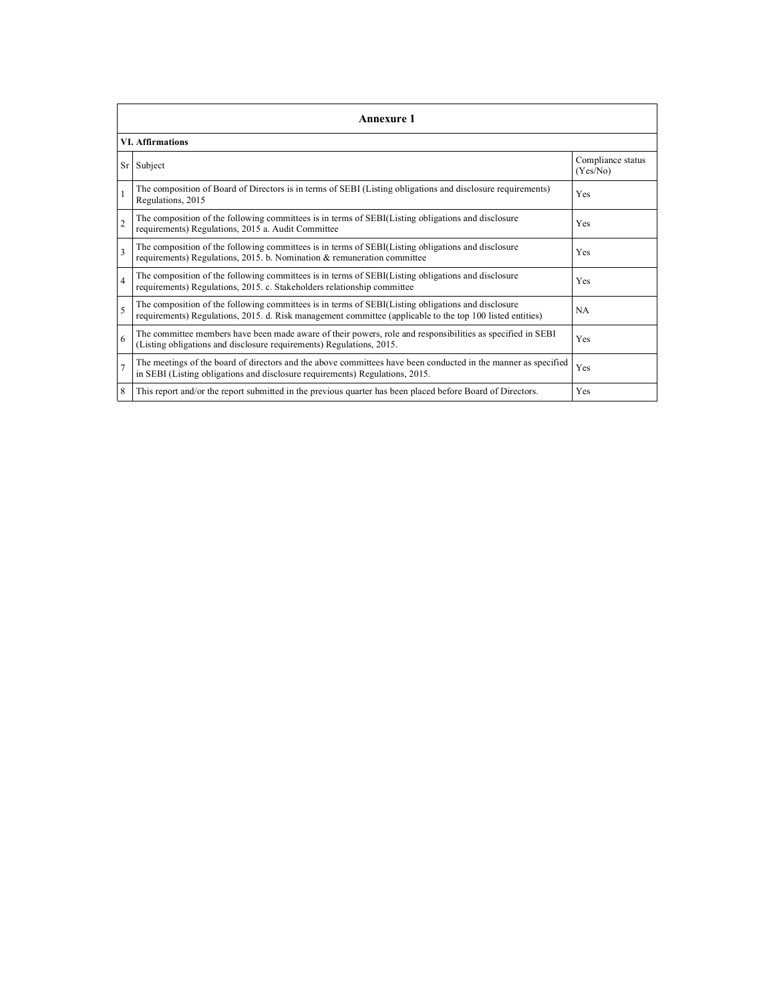|                         | <b>Annexure 1</b>                                                                                                                                                                                               |                               |  |  |  |
|-------------------------|-----------------------------------------------------------------------------------------------------------------------------------------------------------------------------------------------------------------|-------------------------------|--|--|--|
|                         | <b>VI.</b> Affirmations                                                                                                                                                                                         |                               |  |  |  |
| Sr                      | Subject                                                                                                                                                                                                         | Compliance status<br>(Yes/No) |  |  |  |
|                         | The composition of Board of Directors is in terms of SEBI (Listing obligations and disclosure requirements)<br>Regulations, 2015                                                                                | <b>Yes</b>                    |  |  |  |
| $\overline{2}$          | The composition of the following committees is in terms of SEBI(Listing obligations and disclosure<br>requirements) Regulations, 2015 a. Audit Committee                                                        | Yes                           |  |  |  |
| $\overline{\mathbf{3}}$ | The composition of the following committees is in terms of SEBI(Listing obligations and disclosure<br>requirements) Regulations, 2015. b. Nomination & remuneration committee                                   | Yes                           |  |  |  |
| $\overline{4}$          | The composition of the following committees is in terms of SEBI(Listing obligations and disclosure<br>requirements) Regulations, 2015. c. Stakeholders relationship committee                                   | Yes                           |  |  |  |
| 5                       | The composition of the following committees is in terms of SEBI(Listing obligations and disclosure<br>requirements) Regulations, 2015. d. Risk management committee (applicable to the top 100 listed entities) | <b>NA</b>                     |  |  |  |
| 6                       | The committee members have been made aware of their powers, role and responsibilities as specified in SEBI<br>(Listing obligations and disclosure requirements) Regulations, 2015.                              | Yes                           |  |  |  |
| $\overline{7}$          | The meetings of the board of directors and the above committees have been conducted in the manner as specified<br>in SEBI (Listing obligations and disclosure requirements) Regulations, 2015.                  | Yes                           |  |  |  |
| 8                       | This report and/or the report submitted in the previous quarter has been placed before Board of Directors.                                                                                                      | Yes                           |  |  |  |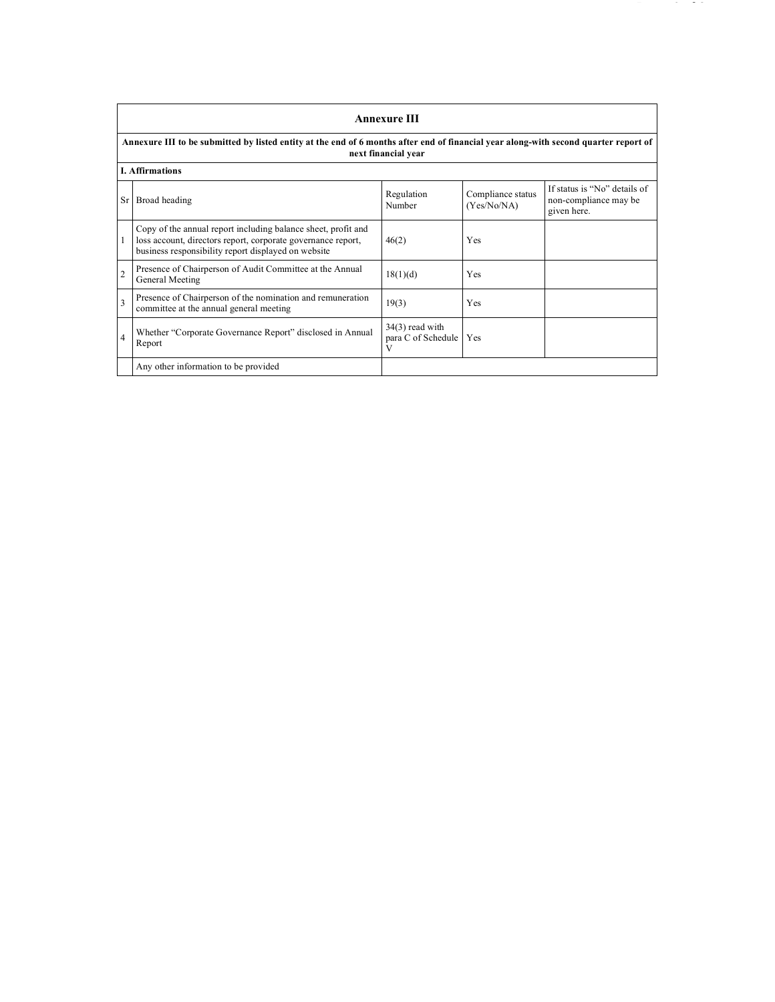|                | <b>Annexure III</b>                                                                                                                                                                  |                                              |                                  |                                                                      |  |
|----------------|--------------------------------------------------------------------------------------------------------------------------------------------------------------------------------------|----------------------------------------------|----------------------------------|----------------------------------------------------------------------|--|
|                | Annexure III to be submitted by listed entity at the end of 6 months after end of financial year along-with second quarter report of<br>next financial year                          |                                              |                                  |                                                                      |  |
|                | <b>I.</b> Affirmations                                                                                                                                                               |                                              |                                  |                                                                      |  |
| Sr             | Broad heading                                                                                                                                                                        | Regulation<br>Number                         | Compliance status<br>(Yes/No/NA) | If status is "No" details of<br>non-compliance may be<br>given here. |  |
| 1              | Copy of the annual report including balance sheet, profit and<br>loss account, directors report, corporate governance report,<br>business responsibility report displayed on website | 46(2)                                        | Yes                              |                                                                      |  |
| $\overline{2}$ | Presence of Chairperson of Audit Committee at the Annual<br>General Meeting                                                                                                          | 18(1)(d)                                     | Yes                              |                                                                      |  |
| 3              | Presence of Chairperson of the nomination and remuneration<br>committee at the annual general meeting                                                                                | 19(3)                                        | Yes                              |                                                                      |  |
| $\overline{4}$ | Whether "Corporate Governance Report" disclosed in Annual<br>Report                                                                                                                  | $34(3)$ read with<br>para C of Schedule<br>V | Yes                              |                                                                      |  |
|                | Any other information to be provided                                                                                                                                                 |                                              |                                  |                                                                      |  |